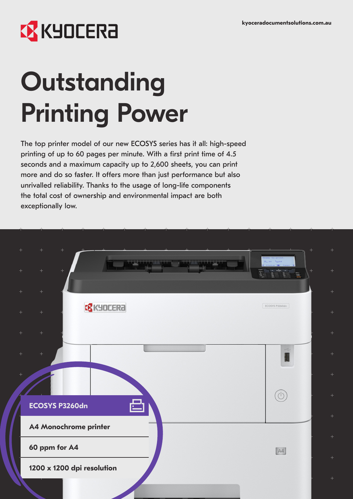# **EX KYOCERA**

# **Outstanding** Printing Power

The top printer model of our new ECOSYS series has it all: high-speed printing of up to 60 pages per minute. With a first print time of 4.5 seconds and a maximum capacity up to 2,600 sheets, you can print more and do so faster. It offers more than just performance but also unrivalled reliability. Thanks to the usage of long-life components the total cost of ownership and environmental impact are both exceptionally low.